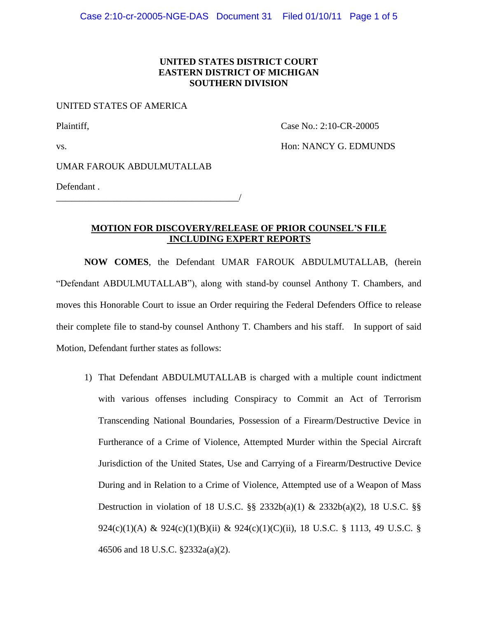## **UNITED STATES DISTRICT COURT EASTERN DISTRICT OF MICHIGAN SOUTHERN DIVISION**

#### UNITED STATES OF AMERICA

Plaintiff, Case No.: 2:10-CR-20005

vs. NANCY G. EDMUNDS

UMAR FAROUK ABDULMUTALLAB

Defendant .

\_\_\_\_\_\_\_\_\_\_\_\_\_\_\_\_\_\_\_\_\_\_\_\_\_\_\_\_\_\_\_\_\_\_\_\_\_\_\_/

## **MOTION FOR DISCOVERY/RELEASE OF PRIOR COUNSEL'S FILE INCLUDING EXPERT REPORTS**

**NOW COMES**, the Defendant UMAR FAROUK ABDULMUTALLAB, (herein "Defendant ABDULMUTALLAB"), along with stand-by counsel Anthony T. Chambers, and moves this Honorable Court to issue an Order requiring the Federal Defenders Office to release their complete file to stand-by counsel Anthony T. Chambers and his staff. In support of said Motion, Defendant further states as follows:

1) That Defendant ABDULMUTALLAB is charged with a multiple count indictment with various offenses including Conspiracy to Commit an Act of Terrorism Transcending National Boundaries, Possession of a Firearm/Destructive Device in Furtherance of a Crime of Violence, Attempted Murder within the Special Aircraft Jurisdiction of the United States, Use and Carrying of a Firearm/Destructive Device During and in Relation to a Crime of Violence, Attempted use of a Weapon of Mass Destruction in violation of 18 U.S.C. §§ 2332b(a)(1) & 2332b(a)(2), 18 U.S.C. §§ 924(c)(1)(A) & 924(c)(1)(B)(ii) & 924(c)(1)(C)(ii), 18 U.S.C. § 1113, 49 U.S.C. § 46506 and 18 U.S.C. §2332a(a)(2).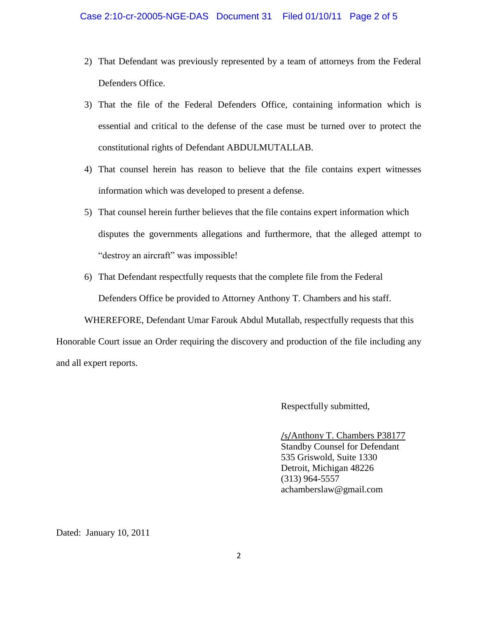- 2) That Defendant was previously represented by a team of attorneys from the Federal Defenders Office.
- 3) That the file of the Federal Defenders Office, containing information which is essential and critical to the defense of the case must be turned over to protect the constitutional rights of Defendant ABDULMUTALLAB.
- 4) That counsel herein has reason to believe that the file contains expert witnesses information which was developed to present a defense.
- 5) That counsel herein further believes that the file contains expert information which disputes the governments allegations and furthermore, that the alleged attempt to "destroy an aircraft" was impossible!
- 6) That Defendant respectfully requests that the complete file from the Federal Defenders Office be provided to Attorney Anthony T. Chambers and his staff.

WHEREFORE, Defendant Umar Farouk Abdul Mutallab, respectfully requests that this

Honorable Court issue an Order requiring the discovery and production of the file including any and all expert reports.

Respectfully submitted,

/s/Anthony T. Chambers P38177 Standby Counsel for Defendant 535 Griswold, Suite 1330 Detroit, Michigan 48226 (313) 964-5557 achamberslaw@gmail.com

Dated: January 10, 2011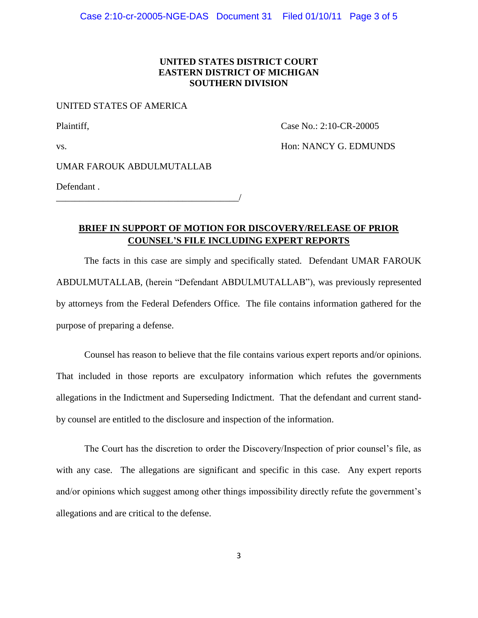## **UNITED STATES DISTRICT COURT EASTERN DISTRICT OF MICHIGAN SOUTHERN DIVISION**

#### UNITED STATES OF AMERICA

Plaintiff, Case No.: 2:10-CR-20005

vs. NANCY G. EDMUNDS

UMAR FAROUK ABDULMUTALLAB

Defendant .

\_\_\_\_\_\_\_\_\_\_\_\_\_\_\_\_\_\_\_\_\_\_\_\_\_\_\_\_\_\_\_\_\_\_\_\_\_\_\_/

# **BRIEF IN SUPPORT OF MOTION FOR DISCOVERY/RELEASE OF PRIOR COUNSEL'S FILE INCLUDING EXPERT REPORTS**

The facts in this case are simply and specifically stated. Defendant UMAR FAROUK ABDULMUTALLAB, (herein "Defendant ABDULMUTALLAB"), was previously represented by attorneys from the Federal Defenders Office. The file contains information gathered for the purpose of preparing a defense.

Counsel has reason to believe that the file contains various expert reports and/or opinions. That included in those reports are exculpatory information which refutes the governments allegations in the Indictment and Superseding Indictment. That the defendant and current standby counsel are entitled to the disclosure and inspection of the information.

The Court has the discretion to order the Discovery/Inspection of prior counsel's file, as with any case. The allegations are significant and specific in this case. Any expert reports and/or opinions which suggest among other things impossibility directly refute the government's allegations and are critical to the defense.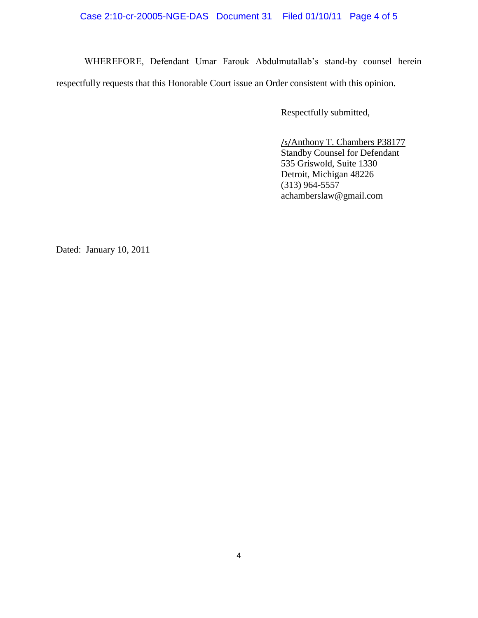## Case 2:10-cr-20005-NGE-DAS Document 31 Filed 01/10/11 Page 4 of 5

WHEREFORE, Defendant Umar Farouk Abdulmutallab's stand-by counsel herein respectfully requests that this Honorable Court issue an Order consistent with this opinion.

Respectfully submitted,

/s/Anthony T. Chambers P38177 Standby Counsel for Defendant 535 Griswold, Suite 1330 Detroit, Michigan 48226 (313) 964-5557 achamberslaw@gmail.com

Dated: January 10, 2011